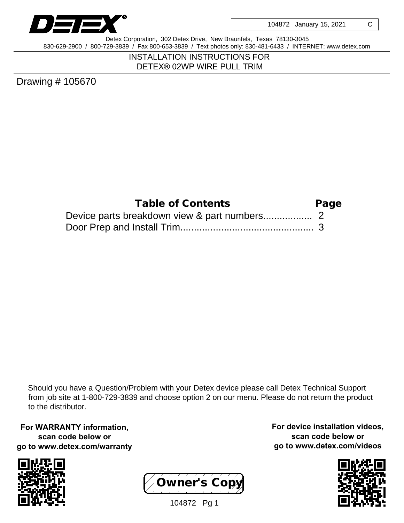

Detex Corporation, 302 Detex Drive, New Braunfels, Texas 78130-3045 830-629-2900 / 800-729-3839 / Fax 800-653-3839 / Text photos only: 830-481-6433 / INTERNET: www.detex.com

> INSTALLATION INSTRUCTIONS FOR DETEX® 02WP WIRE PULL TRIM

Drawing # 105670

| Table of Contents | Page |
|-------------------|------|
|                   |      |
|                   |      |

Should you have a Question/Problem with your Detex device please call Detex Technical Support from job site at 1-800-729-3839 and choose option 2 on our menu. Please do not return the product to the distributor.

**For WARRANTY information, scan code below or go to www.detex.com/warranty**





**For device installation videos, scan code below or go to www.detex.com/videos**



104872 Pg 1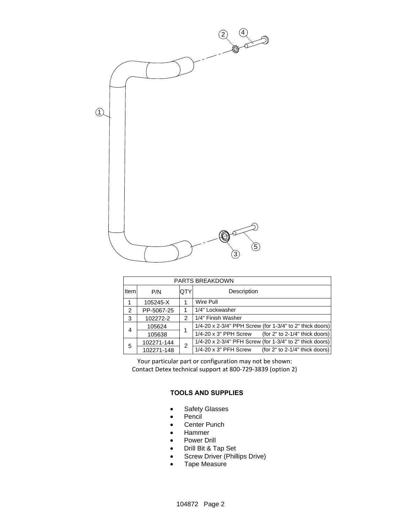

| <b>PARTS BREAKDOWN</b> |            |     |                                                          |
|------------------------|------------|-----|----------------------------------------------------------|
| <b>Item</b>            | P/N        | QTY | Description                                              |
|                        | 105245-X   |     | Wire Pull                                                |
| 2                      | PP-5067-25 |     | 1/4" Lockwasher                                          |
| 3                      | 102272-2   | 2   | 1/4" Finish Washer                                       |
| 4                      | 105624     |     | 1/4-20 x 2-3/4" PPH Screw (for 1-3/4" to 2" thick doors) |
|                        | 105638     |     | 1/4-20 x 3" PPH Screw<br>(for 2" to 2-1/4" thick doors)  |
| 5                      | 102271-144 | 2   | 1/4-20 x 2-3/4" PFH Screw (for 1-3/4" to 2" thick doors) |
|                        | 102271-148 |     | 1/4-20 x 3" PFH Screw<br>(for 2" to 2-1/4" thick doors)  |

Your particular part or configuration may not be shown: Contact Detex technical support at 800-729-3839 (option 2)

## **TOOLS AND SUPPLIES**

- Safety Glasses
- $\bullet$  Pencil
- Center Punch
- Hammer
- Power Drill
- Drill Bit & Tap Set
- Screw Driver (Phillips Drive)
- Tape Measure